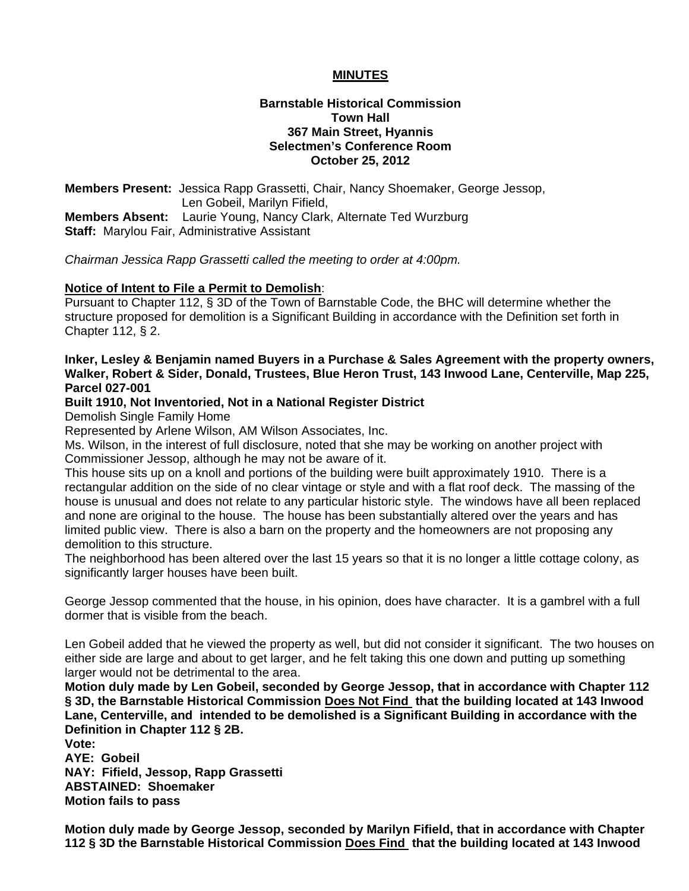## **MINUTES**

### **Barnstable Historical Commission Town Hall 367 Main Street, Hyannis Selectmen's Conference Room October 25, 2012**

**Members Present:** Jessica Rapp Grassetti, Chair, Nancy Shoemaker, George Jessop, Len Gobeil, Marilyn Fifield, **Members Absent:** Laurie Young, Nancy Clark, Alternate Ted Wurzburg **Staff:** Marylou Fair, Administrative Assistant

*Chairman Jessica Rapp Grassetti called the meeting to order at 4:00pm.* 

#### **Notice of Intent to File a Permit to Demolish**:

Pursuant to Chapter 112, § 3D of the Town of Barnstable Code, the BHC will determine whether the structure proposed for demolition is a Significant Building in accordance with the Definition set forth in Chapter 112, § 2.

### **Inker, Lesley & Benjamin named Buyers in a Purchase & Sales Agreement with the property owners, Walker, Robert & Sider, Donald, Trustees, Blue Heron Trust, 143 Inwood Lane, Centerville, Map 225, Parcel 027-001**

#### **Built 1910, Not Inventoried, Not in a National Register District**

Demolish Single Family Home

Represented by Arlene Wilson, AM Wilson Associates, Inc.

Ms. Wilson, in the interest of full disclosure, noted that she may be working on another project with Commissioner Jessop, although he may not be aware of it.

This house sits up on a knoll and portions of the building were built approximately 1910. There is a rectangular addition on the side of no clear vintage or style and with a flat roof deck. The massing of the house is unusual and does not relate to any particular historic style. The windows have all been replaced and none are original to the house. The house has been substantially altered over the years and has limited public view. There is also a barn on the property and the homeowners are not proposing any demolition to this structure.

The neighborhood has been altered over the last 15 years so that it is no longer a little cottage colony, as significantly larger houses have been built.

George Jessop commented that the house, in his opinion, does have character. It is a gambrel with a full dormer that is visible from the beach.

Len Gobeil added that he viewed the property as well, but did not consider it significant. The two houses on either side are large and about to get larger, and he felt taking this one down and putting up something larger would not be detrimental to the area.

**Motion duly made by Len Gobeil, seconded by George Jessop, that in accordance with Chapter 112 § 3D, the Barnstable Historical Commission Does Not Find that the building located at 143 Inwood Lane, Centerville, and intended to be demolished is a Significant Building in accordance with the Definition in Chapter 112 § 2B.** 

**Vote: AYE: Gobeil NAY: Fifield, Jessop, Rapp Grassetti ABSTAINED: Shoemaker Motion fails to pass** 

**Motion duly made by George Jessop, seconded by Marilyn Fifield, that in accordance with Chapter 112 § 3D the Barnstable Historical Commission Does Find that the building located at 143 Inwood**